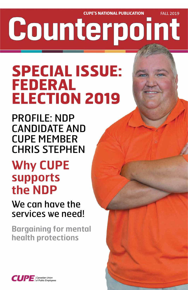**CUPE'S NATIONAL PUBLICATION FALL 2019** Counterpoint

# **SPECIAL ISSUE: FEDERAL ELECTION 2019**

PROFILE: NDP CANDIDATE AND CUPE MEMBER CHRIS STEPHEN

# **Why CUPE supports the NDP**

We can have the

## services we need!

## **Bargaining for mental health protections**



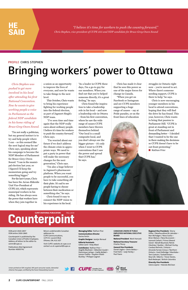*Chris Stephen was pushed to get more involved in his local after attending his first National Convention. Now he wants to give working people a voice in Parliament as the federal NDP candidate in his home riding of Bruce-Grey-Owen Sound.* 

"I'm not really a politician, but my general instinct is to try and help people where I can – so this seemed like the next logical step for me" Chris says, speaking about his campaign to become the NDP Member of Parliament for Bruce-Grey-Owen Sound. "I ran in the municipal election last year, so I figured I'd keep the momentum going and try something bigger."

For the last 6 years, Chris has been the Arran-Elderslie Unit Vice-President of CUPE 255, which represents municipal workers in his riding. He has always seen the power that workers have when they join together in

a union as an opportunity to improve the lives of everyone, and now he wants to take things to the next level.

This October, Chris wants to bring his experience fighting for working people into the federal election, as part of Jagmeet Singh's NDP team.

 "I've seen time and time again that the NDP really cares about ordinary people. I believe it's time for workers to push the country forward," Chris says.

 "I'm worried about our future if we don't address the climate crisis in appropriate ways. We need to put a party in power that will make the necessary changes for the next generation," Chris says.

"I'm also a huge believer in Jagmeet's pharmacare platform. When you want people to be successful, you have to take something off their plate. It's sad to see people having to choose between their medication or something else," he says.

Chris found it easy to connect the NDP vision to his experience in his local.

"As a leader in CUPE these days, I'm a go-to guy for our members. When you find out that you've helped someone directly, it's a great feeling," he says.

Chris found the inspiration to take a leadership role in his local – and now a leadership role in Ottawa – from his first convention, where he saw the wide range of causes CUPE members have thrown themselves behind. "Our local is a small composite local, and you don't always see the bigger picture – it's only when I went to CUPE conventions that I saw the power and spread that CUPE has," he says.

Chris has made it clear that he sees this power as one of the major forces for change in Canada.

"When you get on Facebook or Instagram and see CUPE members supporting a huge range of causes – say at Pride parades, or on the front lines of education

struggles in Ontario right now – you're moved to act. Where there's someone needing support, CUPE is there to help," he says.

Chris is now encouraging younger members in his local to attend conventions, hoping that they will find the drive he has found. This year, however, Chris wants to bring that passion to Parliament Hill. "CUPE is great at standing out in front of Parliament and demanding better – I decided that I wanted to be the one in there making the decisions so CUPE doesn't have to be out front protesting." ■ **Nathan Prier**

# **COUNTY CUPE'S NATIONAL PUBLICATION**

*"I believe it's time for workers to push the country forward." Chris Stephen, vice-president of CUPE 255 and NDP candidate for Bruce-Grey-Owen Sound*

## **HE SAID**

Union-printed on 50% recycled, 30% post-consumer waste, elemental chlorine-free paper, certified by the Forest Stewardship Council.





### **2 CUPE COUNTERPOINT** FALL 2019

#### ISSN print 1920-2857 ISSN online 1920-2865

Counterpoint is published by the Canadian Union of Public Employees. Address all letters to the editor to: comm@cupe.ca

Publications Mail Agreement Number 40005741

Return undeliverable Canadian addresses to: CUPE Communications, 1375 St. Laurent Blvd. Ottawa, ON, K1G 0Z7

Visit CUPE's website at cupe.ca or contact us at cupemail@cupe.ca

**Managing Editor** Nathan Prier **Communications Director** Karine Fortin

**Graphic Designer** Jocelyn Renaud

**Editorial Assistants** Céline Carré • Vicky Allard

**Contributors** Nathan Prier • Angella MacEwen • Sébastien Goulet • Dominique LaHaye • Gaëlle McNeil • Leonor Cedillo • Stephen Elliott-Buckley • Philippe Gagnon

**CANADIAN UNION OF PUBLIC EMPLOYEES NATIONAL EXECUTIVE BOARD**

**National President** Mark Hancock

**National Secretary-Treasurer** Charles Fleury

**General Vice-Presidents** Daniel Légère • Denis Bolduc • Fred Hahn • Judy Henley • Paul Faoro

### **Regional Vice-Presidents** Sherry Hillier / Newfoundland & Labrador • Nan McFadgen / Nova Scotia • Brien Watson / New Brunswick • Leonard Gallant / Prince Edward Island • Benoît Bouchard, Patrick Gloutney / Quebec • Michael Hurley, Candace Rennick / Ontario • Amanda Farrow-Giroux / Northern Ontario • Gord Delbridge / Manitoba • Tom Graham / Saskatchewan • Rory Gill / Alberta • Trevor Davies, Barb Nederpel / British Columbia

**Diversity Vice-Presidents** Gloria Lepine • Yolanda McClean

### PROFILE CHRIS STEPHEN

## Bringing workers' power to Ottawa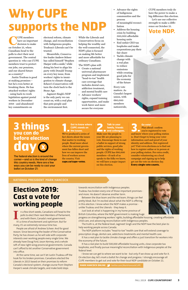## **Election 2019: Cast a vote for working people**



**I** n a few short weeks, Canadians will head to the

### **NATIONAL PRESIDENT** MARK HANCOCK

UPE members<br>have an import<br>decision to make have an important decision to make on October 21, when Canadians head to the polls to elect their next government. The central question is: who can CUPE members trust to protect our jobs, our pensions, and our shared future as a country?

Justin Trudeau is good at making promises – but he's even better at breaking them. He has attacked workers' rights - using back-to-work legislation against postal workers in December 2018 - and abandoned key commitments on

electoral reform, climate change, and reconciliation with Indigenous peoples. Trudeau's Liberals can't be trusted.

Meanwhile, Conservative leader Andrew Scheer has called himself "Stephen Harper with a smile," while doing his best to align his party with Donald Trump on every key issue, from workers' rights to immigration to climate change. Scheer's Conservatives will turn the clock back to the Stone Age.

Jagmeet Singh's NDP is the only party we can count on, with a real plan that puts people and the environment first.

While the Liberals and Conservatives focus on helping the wealthy and the well-connected, the NDP's plan is focused on making life better and more affordable for ordinary Canadians.

The NDP's plan will:

- Create a national universal pharmacare program and implement "head-to-toe" health care coverage that includes dental care, addiction treatment, and mental health care
- Advance workers' rights, expand training opportunities, and make work fairer and more secure for everyone

• Advance the rights of Indigenous communities and the process

> of meaningful reconciliation

- Address the housing crisis by building 500,000 affordable housing units
- End unfair CEO tax loopholes and make corporations pay their fair share
- Tackle climate change with a real plan to reduce emissions while creating good jobs for the economy of the future

Every vote matters. As Canada's largest union, with 680,000 members nationwide,

CUPE members truly do have the power to make a big difference this election.

Let's use our collective strength to make a difference on October 21.

### **Vote NDP.**



# **Why CUPE supports the NDP**

polls to elect their next Members of Parliament, and with them, Canada's next government. It's a time of excitement and optimism. But for many, it's an extremely nervous time too.

**follow** the issues. We've produced a series of fact sheets about the issues that matter to working people. Read more about where the current government has fallen short and how we can improve the lives of workers across the country. Visit **cupe.ca/cupe-votes**.

People are afraid of Andrew Scheer. And for good reason. Since becoming the leader of the Conservative Party, he has shown us he will side with corporate interests over working people every single time. We already have Doug Ford, Jason Kenney, and a whole raft of new right-wing provincial governments. Canada can't afford to let another Conservative government into office.

**2. Talk to your**<br> **and colleagues. family, friends**  Make sure the people in your life are planning to vote. Encourage them to cast a ballot in support of strong public services, good jobs and the rights of working

**3. Go vote!**<br> **3. Plan ahead: confirm**<br>
you're registered to vote Plan ahead: confirm and know where your polling station is. Don't forget to bring your voter information card and proof of your identity and address. Not registered yet? Visit www.elections.ca to find out how to register online or in person at your polling station. For extra credit, consider volunteering on a local campaign and signing up to help get out the vote on election day. **Every single vote counts.**

At the same time, we can't let Justin Trudeau off the hook for his broken promises. Canadians elected the Liberals in 2015 based on their promises to reform Canada's electoral system, change course from Stephen Harper's weak climate targets, and make bold steps

towards reconciliation with Indigenous peoples. Trudeau has broken every one of those important promises and more. He doesn't deserve another term.

Between the blue team and the red team, things can feel pretty bleak. But I'm excited about what the NDP is offering in this election. I know when the NDP makes a promise unlike Trudeau and the Liberals - they keep it.

Just look at what is happening in my home province of



British Columbia, where the NDP government is making huge

progress on strengthening workers' rights, building affordable housing, creating affordable child care, and advancing reconciliation with Indigenous peoples.

The truth is, at the federal level, Jagmeet Singh and the NDP have the best plan to help working people across Canada.

The NDP platform includes "head-to-toe" health care that will extend coverage to prescription drugs, dental care, addictions treatments and mental health care.

It has a real plan to tackle climate change and offers a just transition for workers into the economy of the future.

It has a real plan to build 500,000 affordable housing units, close corporate tax loopholes, and finally pursue meaningful reconciliation with Indigenous peoples at the federal level.

I know we can get to where we want to be - but only if we show up and vote for it. On election day, let's mark a ballot for change and progress. I strongly encourage all CUPE members to get out and vote for their local NDP candidate on October 21.

**MARK HANCOCK ONLINE 3** twitter.com/MarkHancockCUPE

The federal election is around the corner—and so is the kind of change this country needs. Here are a few ways you can be ready to cast your ballot on October 21:

## **3 things you can do before election day**

### **1. Get to know where CUPE stands on**

people. CUPE has 680,000 members—if each of us speaks to the folks we know, we will have a major impact

on this election.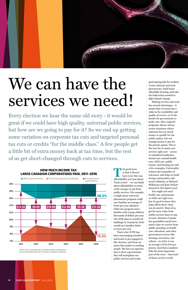**T** he good news<br>is that it doesn<br>have to be this is that it doesn't have to be this way. Affordability isn't just about "buck-a-beer" - we can think about affordability in terms of the savings we get from public services. For example, a single-payer universal pharmacare program could save families an average of \$500 per year. Quebec's child care program saves families with young children thousands of dollars per year. The NDP plan to retrofit all buildings in Canada by 2050 would save families \$900 or more per year. That's why CUPE has been encouraging members and locals to get engaged in this election, and focus on issues that matter to working people. We have an opportunity to elect a government that will strengthen our public services and create

good-paying jobs for workers, create national universal pharmacare, build more affordable housing, and take the bold action needed to fight climate change.



# We can have the services we need!

Making services universal has several advantages – it means that everyone has a stake in the availability and quality of service, so it's far harder for governments to make cuts. Also, targeted programs almost always create situations where someone has too much money to qualify for the public option, but not enough money to pay for the private option. This is the case for so many core services right now – access to subsidized medicines, dental care, mental health care, child care, public transit, and housing are only a few examples. Universality reduces the inequality of outcomes, and helps to build strong communities and social solidarity, as Richard Wilkinson and Kate Pickett showed in The Spirit Level.

You might not need health care, pharmacare or child care right now, but it's good to know that help will be there when you do need it. Most of us get far more value from public services than we pay in taxes. Statistics Canada has quantified exactly how much value we receive from public spending on health care, education, and other government services like housing, recreation, and culture – in 2018, it was an average of \$12,500 per person. And these numbers hide the most important part of the story – that most of those services would

Every election we hear the same old story - it would be great if we could have high quality, universal public services, but how are we going to pay for it? So we end up getting some variation on corporate tax cuts and targeted personal tax cuts or credits "for the middle class." A few people get a little bit of extra money back at tax time, but the rest of us get short-changed through cuts to services.



\* Data os for companies with >\$2 billion market capitalization Source: Bloomberg data for 102 largest Canadian companies

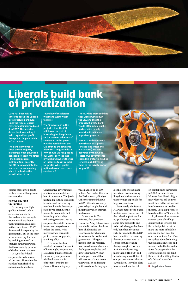cost far more if you had to replace them with a private sector option.

### **How we pay for it – tax fairness**

In the long run, high quality universal public services often pay for themselves – for example, economists have shown that subsidized child care in Quebec returned \$1.47 for every dollar spent by the government. But in the short term, we can pay for them by undoing some of the changes in the tax system that have unfairly put most of the burden on workers. In 1980 the federal corporate tax rate was at 36 per cent. Since then the rate has been slashed by subsequent Liberal and

Conservative governments, and is now at an all-time low of 15 per cent. The justification for cutting corporate tax rates and introducing new loopholes is that corporations will often use the money to create jobs and invest in productivityenhancing research. But as corporate taxes fell, business investment stayed more or less the same. What increased was corporate profits, executive payouts, and inequality. Over time, this has resulted in a record amount of hoarding by corporations. Data from Finance Canada shows large corporations withheld about a third of the taxes owed to the Canada Revenue Agency,

which added up to \$10 billion. And earlier this year the Parliamentary Budget Officer estimated that up to \$25 billion is lost every year to legal loopholes and illegal tax evasion through

tax havens.

Canadians for Tax Fairness, the Canadian Centre for Policy Alternatives, and the Broadbent Institute have all identified tax reform as a key challenge for whoever forms the next government. The good news is that the research has been done on which are the biggest loopholes, and how to fix them. We just need a government that will restore balance to our tax system, by addressing both avoidance (using legal

loopholes to avoid paying taxes) and evasion (using illegal methods to reduce taxes owing), especially for large corporations.

Fortunately, the federal NDP has made broad-based tax fairness a central part of their election platform for 2019. Their plan includes some new proposals, and rolls back changes that have only benefited the superrich. For example, the NDP has committed to restoring the corporate tax rate to 18 per cent, increasing the top marginal tax rate for individuals earning more than \$210,000, and introducing a wealth tax of one per cent on wealth over \$20 million. They also plan to reverse a huge tax cut

on capital gains introduced in 2000 by then-Finance Minister Paul Martin. Right now, when you sell an investment, only half of the increase in value counts as taxable income. The NDP proposes restore this to 75 per cent. So, the next time someone says we can't afford highquality public services, tell them that public services make life more affordable and are the best deal for our communities. And if we worry less about balancing the budget at any cost, and instead make the tax system fairer for people than for corporations, we can fund these critical building blocks of a fair and equitable society. ■ **Angella MacEwen**



## **Liberals build bank of privatization**

**CUPE has been raising concerns about the Canada Infrastructure Bank (CIB) since the federal Liberal government first introduced it in 2017. The investordriven bank was set up to help corporations profit from privatizing our public infrastructure.** 

**The bank is involved in three transit projects, including a huge privatized light rail project in Montreal - the Réseau express métropolitain. Recently, the CIB has moved into the water sector, announcing plans to subsidize the privatization of the** 

**Township of Mapleton's water and wastewater facilities.** 

**The "innovation" in this project is that the CIB will lower the cost of borrowing for the private sector partner. What wasn't considered in this project was the possibility of the CIB offering the township a low-cost, long-term loan. Why should we risk putting our water services into private hands where there is an incentive to cut corners for profit, when public options haven't even been considered?**

**The NDP has promised that they would wind down the CIB, and that their proposed Climate Bank would offer public-public partnerships to help municipalities finance important projects.**

**Research and experience have shown that public services (like water and wastewater) are best delivered by the public sector. Our governments should be protecting public services, not delivering them to the private sector for profit!**

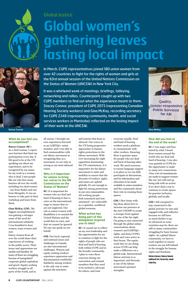### **What do you feel you accomplished?**

**Stacey Connor (SC)**: As a deaf woman, I experience barriers that limit my participation every day. It felt good to be at the UN speaking out about my experiences, and to be recognized by my union for my work as a woman who is deaf. I met people like me who face many barriers all over the world, including two deaf women - one from Sudan and one from Mongolia. It was an honour to take part in their workshop and learn from them.

**Gina McKay (GM)**: My biggest accomplishment

was gaining a stronger sense of the need for international solidarity. I was humbled to hear women, trans women and non-

binary women from all over the world share their experiences of working in the public sector. Their issues and oppressions are similar and familiar. So many of them are struggling because of unregulated corporate global capitalism and greed. Equity-seeking workers struggle in all parts of the world, and in

all unions. I brought my own experiences forward as an LGBTQ2+ union member, and I was able to find commonalities with our labour movement in recognizing that, as a movement, we are only as strong as our most silenced voices.

### **Why is it important for unions to bring our voices to the UN Commission on the Status of Women?**

**SC:** It is important for women who are deaf and hard of hearing to have a voice on the international stage to ensure that we are not neglected. Our role as union women with

disabilities is to remind the United Nations and the world that we exist, and that we cannot be ignored. No one can speak on our behalf.

**GM:** Our local, regional, and national issues and challenges in Canada are also international challenges. Women and equity-seeking workers experience oppression and discrimination worldwide. Solidarity among workers is the only way to unite against the structures

and systems that keep us silenced. Our voices in the UN bring progressive approaches to human rights protections in the labour movement. With ever-increasing far-right opposition dominating the UN commissions, it is imperative for the labour movement to unite and mobilize to ensure that the diversity of workers' rights and issues are upheld globally. It's not enough to fight for strong protections in our own communities. All working people both unionized and nonunionized - are vulnerable in a capitalist, neoliberal global economy.

### **What action has being part of this delegation inspired you to take?**

**SC:** It caused me to reflect on my own leadership and the opportunities for me to continue to fight for the rights of people who are deaf and hard of hearing, both within CUPE and in the broader community. I plan to voice these concerns during our convention and remind members that they need to be inclusive, advocate for others, and treat

everyone equally. Deaf and hard of hearing workers need a platform to communicate with other workers. Ensuring there is genuine space for people who are deaf and hard of hearing takes work. We need resources to ensure language support is in place so we can fully participate in discussions, and for information and education to be made available to union members and the community about their role in creating these spaces.

**GM:** I flew home with big ideas about how to increase our presence at the next UNCSW to create a stronger front against the rise of the far-right. I'm going to stay connected through the global online conversations about women's and LGBTQ2+ rights, and keep CUPE's work and voice active in that forum. The equity work that we are doing across CUPE can help make a difference on a global scale. Intersectional labour activism is so important, and diversity is one of the labour movement's greatest strengths.

### **How did you feel at the end of the week?**

**SC:** I was angry and frustrated by what I heard from women around the world who are deaf and hard of hearing. I was also very grateful to CUPE for the opportunity to make so many new connections. I fear a lot of commitments are made to support women like me, but will end up being talk with no action if we don't find a way to continue to create spaces for genuine inclusion, globally and locally.

**GM:** I felt energized to stay connected to the global activists we met and engaged with, and reflective because we still have so much farther to go. As advanced as some countries may be, there are still so many communities struggling for basic human rights. As a global labour community, we have to work together to ensure workers are not left behind in the struggle for human rights and freedoms. **Interviews have been edited for brevity and clarity.**

In March, CUPE representatives joined 180 union women from over 42 countries to fight for the rights of women and girls at the 63rd annual session of the United Nations Commission on the Status of Women (UNCSW) in New York City.

It was a whirlwind week of meetings, briefings, lobbying, networking and rallies. Counterpoint caught up with two CUPE members to find out what the experience meant to them. Stacey Connor, president of CUPE 2073 (representing Canadian Hearing Society workers) and Gina McKay, recording secretary for CUPE 2348 (representing community, health, and social services workers in Manitoba) reflected on the lasting impact of their work at the UNCSW.



Quality, Gender-responsive **Public Services** for All!

# Global Justice **Global women's gathering leaves lasting local impact**



Stacey Connor Gina McKay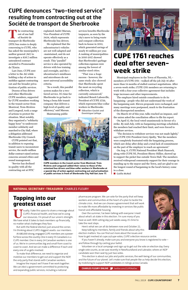**T** he contracting out of one half of Société de transport de Sherbrooke (STS) bus routes is deeply concerning to CUPE, who has asked the municipality's auditor general (AG) to investigate a \$26.7 million untendered contract awarded to Promenades de l'Estrie.

Last June, CUPE sent a letter to the AG while holding a day of action to mobilize against contracting out and the broader privatization of public services.

Dozens of bus drivers and other Sherbrooke CUPE members, supported by CUPE members working in the transit sector from Montreal, Trois-Rivières and Longeuil, took a range of actions to protest the situation. Most notably, they organized a "solidarity happy hour" to underscore member solidarity and marched to City Hall, where a delegation addressed Sherbrooke City Council.

CUPE pointed out that, in addition to exposing transit users to inconsistent service, the multi-million dollar contract raised serious concerns around ethics and sound management.

"Service has declined in quality with all the contracting out at STS,"

explained André Marsan, Vice-President of CUPE 3434, which represents Sherbrooke bus drivers.

He explained that the subcontractor's vehicles are not well-adapted and -maintained, and do not operate effectively as a result. This "parallel" service is also operated by drivers with less training and oversight, and the s ubcontractor's minibuses and microbuses do not meet universal accessibility criteria.

"As a result, this parallel system makes for a twotiered service. It's time for Sherbrooke to go back to being a bona fide transit company that delivers a high level of quality and efficiency," said Marsan.

Maintaining public



taxpayers, as seen by the city's move to bring waste and compost collection back in-house in 2012, which generated savings of nearly \$1 million per year. A ranking of municipalities in 2016-2017 showed that Sherbrooke's garbage collection expenses were among the lowest of similar-sized cities. "That was a huge success - however, the same study also showed that Sherbrooke spent the most on recycling collection, which is currently outsourced," indicated Benoît Labonville, President of CUPE 2729, which represents blue-collar workers in Sherbrooke. ■ **Sébastien Goulet and Dominique LaHaye**

**T** sually, I take this space to share a message about CUPE's financial health, and how we're using our resources. I'm proud of our union's strength. We have what it takes to back members up financially, no matter what challenges they face.

### **NATIONAL SECRETARY-TREASURER** CHARLES FLEURY

pharmacare program. We can vote for the party that will keep workers and communities at the heart of a plan to tackle the climate crisis. And we can choose a government that will work to make life more affordable by investing in services like public transit and affordable housing.

Over the summer, I've been talking with everyone I meet about what's at stake in this election. I'm sure many of you have as well. With voting day just weeks away, it's time to take the next steps.



Here's what we can all do between now and October 21. Keep talking to members, family and friends about why this election matters. You can find out more about the issues and how to get involved at cupe.ca/cupe-votes, CUPE's election resource centre.

If you haven't already, make sure you and everyone you know is registered to vote –

and follow through by casting your ballot.

Volunteer on a local campaign and sign up to get out the vote on election day. Every single vote counts, as we saw recently in Newfoundland and Labrador, where an NDP candidate won their seat by just two votes.

This election is about our jobs and public services, the well-being of our communities, and the future of our planet. Let's make sure that people like us help decide this election, by mobilizing to support NDP candidates in ridings across Canada.

**CHARLES FLEURY ONLINE** twitter.com/CUPENatSec

### **CUPE denounces "two-tiered service" resulting from contracting out at the Société de transport de Sherbrooke**

## **CUPE 1761 reaches deal after sevenweek strike**

## **Tapping into our greatest asset**

But with the federal election just around the corner, I'm thinking about CUPE's biggest assets: our members.

At 680,000 strong, engaged CUPE members are a powerful force across the country. One in every 55 Canadians is a CUPE member. One in every 24 Canadian workers is one of us. We're in communities big and small from coast to coast to coast. And we can make a difference if each and every one of us gets involved.

To make that difference, we need to organize and mobilize our members to get out and support the NDP, the only party that stands with Canadian workers.

Imagine the impact we'll have if we work together. We can elect a government committed to protecting and expanding public services, including a national

Municipal employees in the Town of Placentia, NL members of CUPE 1761 - walked off the job July 16 after more than 14 months of stalled contract negotiations. After a seven-week strike, CUPE 1761 members are returning to work with a four-year collective agreement that includes wage increases and other improvements.

The employer hired outside consultants to do its bargaining - people who did not understand the work of the bargaining unit. Eleven proposals were exchanged, and many meetings were postponed, much to the frustration of the disrespected members.

On March 20 of this year, talks reached an impasse, and the union asked the conciliation officer to file his report.

On April 17, the local voted unanimously in favour of a strike. By mid-July, with no bargaining meetings scheduled, the members had reached their limit, and were forced to withdraw services.

"The decision to withdraw services was not made lightly," says CUPE 1761 President Gerry Quilty, "But the members were completely frustrated with the bargaining process, which saw delay after delay and a total lack of commitment on the part of the employer to reach an agreement."

On Aug. 6, CUPE National President Mark Hancock, along with CUPE NL President Sherry Hillier, showed up to support the picket line outside Town Hall. The members received widespread community support for their courage in standing up to the mayor and the Town, and are glad to see the longest round of bargaining in the local's history come to a close.

■ **Gaëlle McNeil**



CUPE members in the transit sector from Montreal, Trois-Rivières and Longueuil added their voices to those of the unionized bus drivers and blue-collar workers in Sherbrooke at a special day of action against contracting out and privatization of public services in front of Sherbrooke City Hall last June 17.